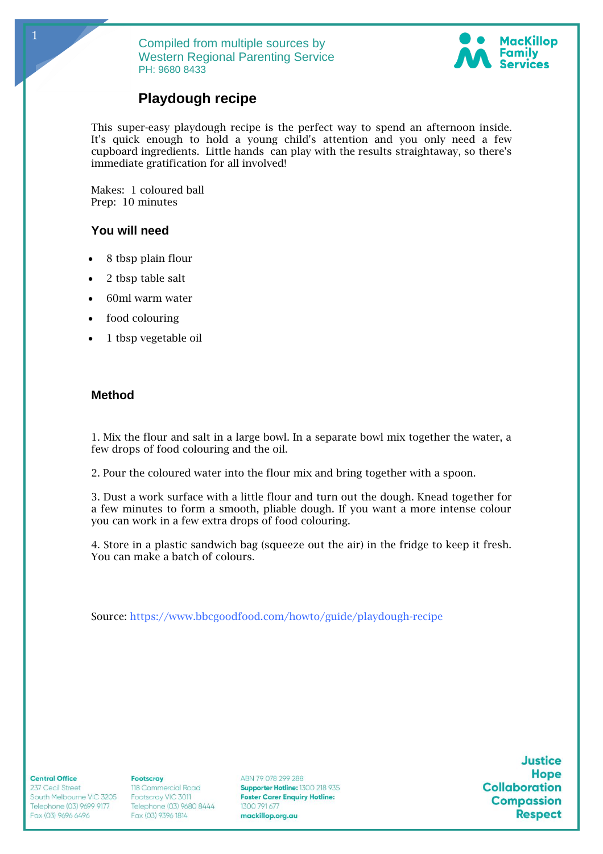

# **Playdough recipe**

This super-easy playdough recipe is the perfect way to spend an afternoon inside. It's quick enough to hold a young child's attention and you only need a few cupboard ingredients. Little hands can play with the results straightaway, so there's immediate gratification for all involved!

Makes: 1 coloured ball Prep: 10 minutes

# **You will need**

1

- 8 tbsp plain flour
- 2 tbsp table salt
- 60ml warm water
- food colouring
- 1 tbsp vegetable oil

# **Method**

1. Mix the flour and salt in a large bowl. In a separate bowl mix together the water, a few drops of food colouring and the oil.

2. Pour the coloured water into the flour mix and bring together with a spoon.

3. Dust a work surface with a little flour and turn out the dough. Knead together for a few minutes to form a smooth, pliable dough. If you want a more intense colour you can work in a few extra drops of food colouring.

4. Store in a plastic sandwich bag (squeeze out the air) in the fridge to keep it fresh. You can make a batch of colours.

Source:<https://www.bbcgoodfood.com/howto/guide/playdough-recipe>

**Central Office** 

237 Cecil Street South Melbourne VIC 3205 Telephone (03) 9699 9177 Fax (03) 9696 6496

**Footscray** 118 Commercial Road Footscray VIC 3011 Telephone (03) 9680 8444 1300 791 677<br>Fax (03) 9396 1814 **mackillop.org.au** 

ABN 79 078 299 288 Supporter Hotline: 1300 218 935 **Foster Carer Enquiry Hotline:**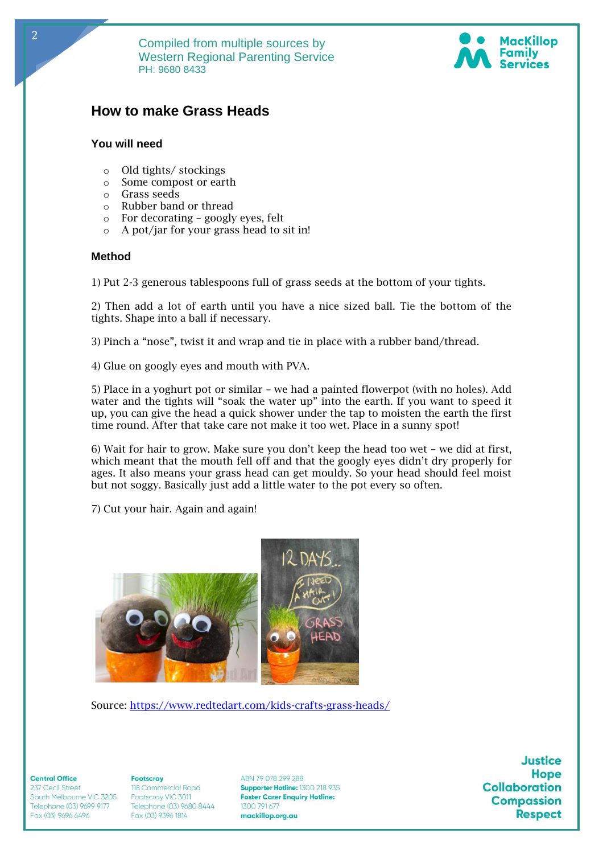



# **How to make Grass Heads**

# **You will need**

- o Old tights/ stockings
- o Some compost or earth
- o Grass seeds
- o Rubber band or thread
- o For decorating googly eyes, felt
- o A pot/jar for your grass head to sit in!

#### **Method**

1) Put 2-3 generous tablespoons full of grass seeds at the bottom of your tights.

2) Then add a lot of earth until you have a nice sized ball. Tie the bottom of the tights. Shape into a ball if necessary.

3) Pinch a "nose", twist it and wrap and tie in place with a rubber band/thread.

4) Glue on googly eyes and mouth with PVA.

5) Place in a yoghurt pot or similar – we had a painted flowerpot (with no holes). Add water and the tights will "soak the water up" into the earth. If you want to speed it up, you can give the head a quick shower under the tap to moisten the earth the first time round. After that take care not make it too wet. Place in a sunny spot!

6) Wait for hair to grow. Make sure you don't keep the head too wet – we did at first, which meant that the mouth fell off and that the googly eyes didn't dry properly for ages. It also means your grass head can get mouldy. So your head should feel moist but not soggy. Basically just add a little water to the pot every so often.

7) Cut your hair. Again and again!



Source:<https://www.redtedart.com/kids-crafts-grass-heads/>

**Central Office** 

237 Cecil Street South Melbourne VIC 3205 Telephone (03) 9699 9177 Fax (03) 9696 6496

**Footscrav** 118 Commercial Road Footscray VIC 3011 Telephone (03) 9680 8444 1300 791 677<br>Fax (03) 9396 1814 **mackillop.org.au** 

ABN 79 078 299 288 Supporter Hotline: 1300 218 935 **Foster Carer Enquiry Hotline:**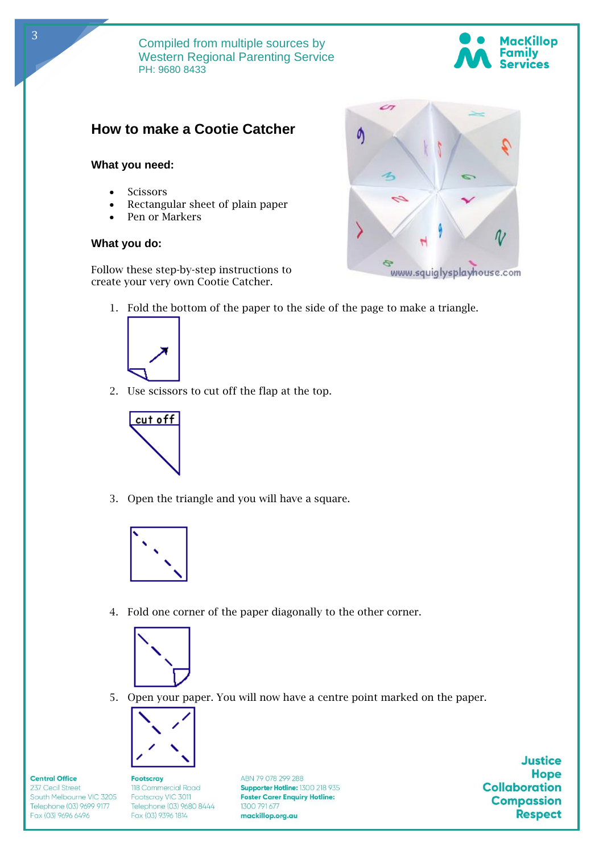



# **How to make a Cootie Catcher**

## **What you need:**

- **Scissors**
- Rectangular sheet of plain paper
- Pen or Markers

## **What you do:**

Follow these step-by-step instructions to create your very own Cootie Catcher.



1. Fold the bottom of the paper to the side of the page to make a triangle.



2. Use scissors to cut off the flap at the top.



3. Open the triangle and you will have a square.



4. Fold one corner of the paper diagonally to the other corner.



5. Open your paper. You will now have a centre point marked on the paper.



**Central Office** 

237 Cecil Street

Fax (03) 9696 6496

South Melbourne VIC 3205

Telephone (03) 9699 9177

**Footscray** 118 Commercial Road Footscray VIC 3011 Telephone (03) 9680 8444 1300 791 677<br>Fax (03) 9396 1814 **mackillop.org.au** 

ABN 79 078 299 288 Supporter Hotline: 1300 218 935 **Foster Carer Enquiry Hotline:**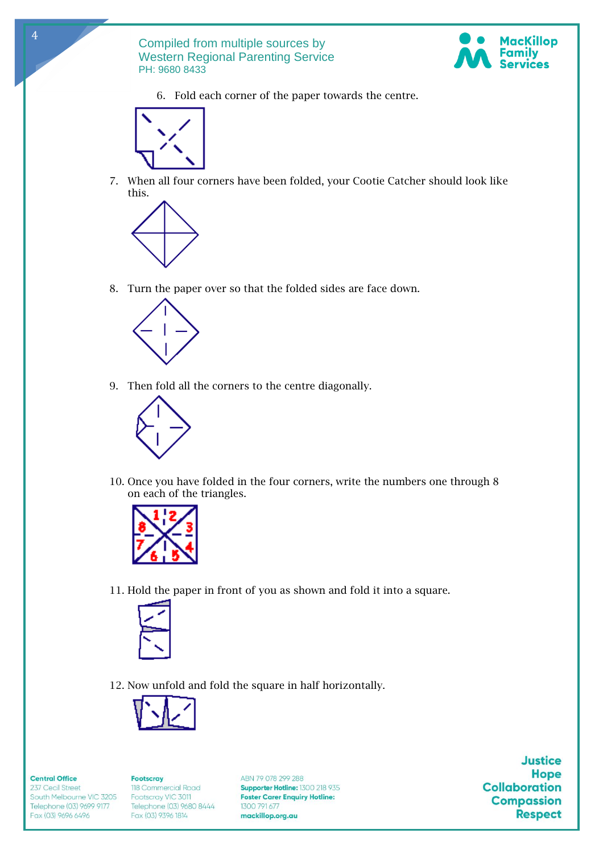

6. Fold each corner of the paper towards the centre.



4

7. When all four corners have been folded, your Cootie Catcher should look like this.



8. Turn the paper over so that the folded sides are face down.



9. Then fold all the corners to the centre diagonally.



10. Once you have folded in the four corners, write the numbers one through 8 on each of the triangles.



11. Hold the paper in front of you as shown and fold it into a square.



12. Now unfold and fold the square in half horizontally.



#### **Central Office**

237 Cecil Street South Melbourne VIC 3205 Telephone (03) 9699 9177 Fax (03) 9696 6496

**Footscray** 118 Commercial Road Footscray VIC 3011 Telephone (03) 9680 8444 1300 791 677<br>Fax (03) 9396 1814 **mackillop.org.au** 

ABN 79 078 299 288 Supporter Hotline: 1300 218 935 **Foster Carer Enquiry Hotline:**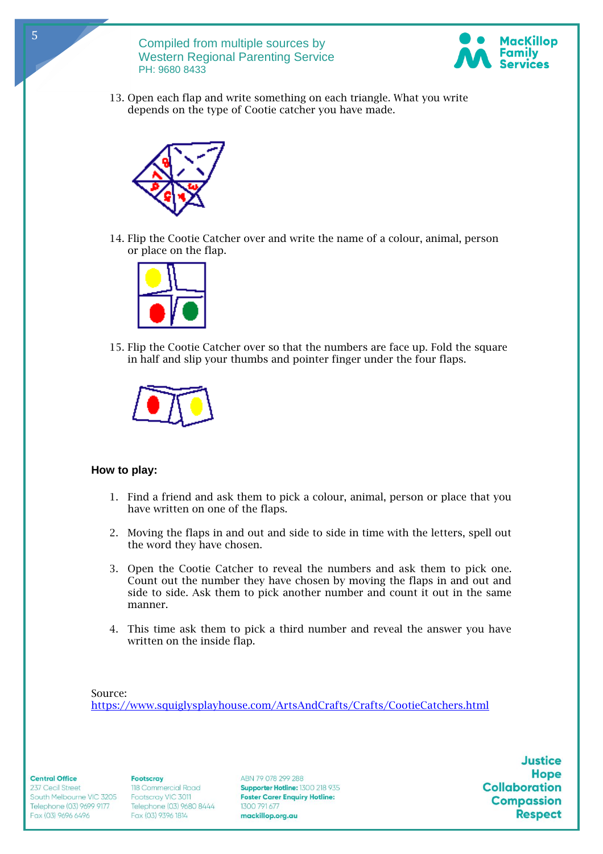

13. Open each flap and write something on each triangle. What you write depends on the type of Cootie catcher you have made.



14. Flip the Cootie Catcher over and write the name of a colour, animal, person or place on the flap.



15. Flip the Cootie Catcher over so that the numbers are face up. Fold the square in half and slip your thumbs and pointer finger under the four flaps.



# **How to play:**

- 1. Find a friend and ask them to pick a colour, animal, person or place that you have written on one of the flaps.
- 2. Moving the flaps in and out and side to side in time with the letters, spell out the word they have chosen.
- 3. Open the Cootie Catcher to reveal the numbers and ask them to pick one. Count out the number they have chosen by moving the flaps in and out and side to side. Ask them to pick another number and count it out in the same manner.
- 4. This time ask them to pick a third number and reveal the answer you have written on the inside flap.

Source: <https://www.squiglysplayhouse.com/ArtsAndCrafts/Crafts/CootieCatchers.html>

**Central Office** 

237 Cecil Street South Melbourne VIC 3205 Telephone (03) 9699 9177 Fax (03) 9696 6496

**Footscray** 118 Commercial Road Footscray VIC 3011 Telephone (03) 9680 8444 1300 791 677<br>Fax (03) 9396 1814 **mackillop.org.au** 

ABN 79 078 299 288 Supporter Hotline: 1300 218 935 **Foster Carer Enquiry Hotline:**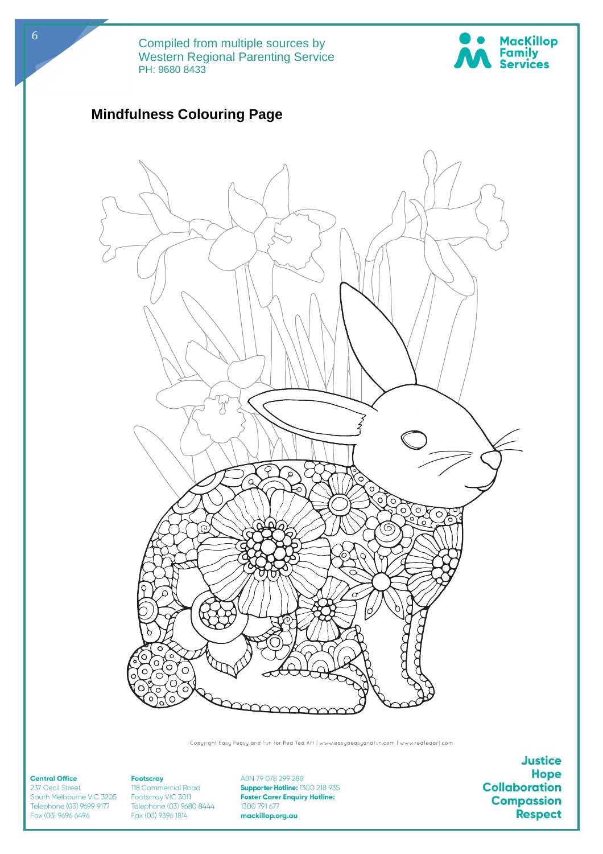



Copyright Easy Peasy and Fun for Red Ted Art | www.easypeasyandfun.com | www.redtedart.com

#### **Central Office**

237 Cecil Street South Melbourne VIC 3205 Telephone (03) 9699 9177 Fax (03) 9696 6496

## Footscray 118 Commercial Road Footscray VIC 3011 Telephone (03) 9680 8444 1300 791 677<br>Fax (03) 9396 1814 **mackillop.org.au**

ABN 79 078 299 288 Supporter Hotline: 1300 218 935 **Foster Carer Enquiry Hotline:**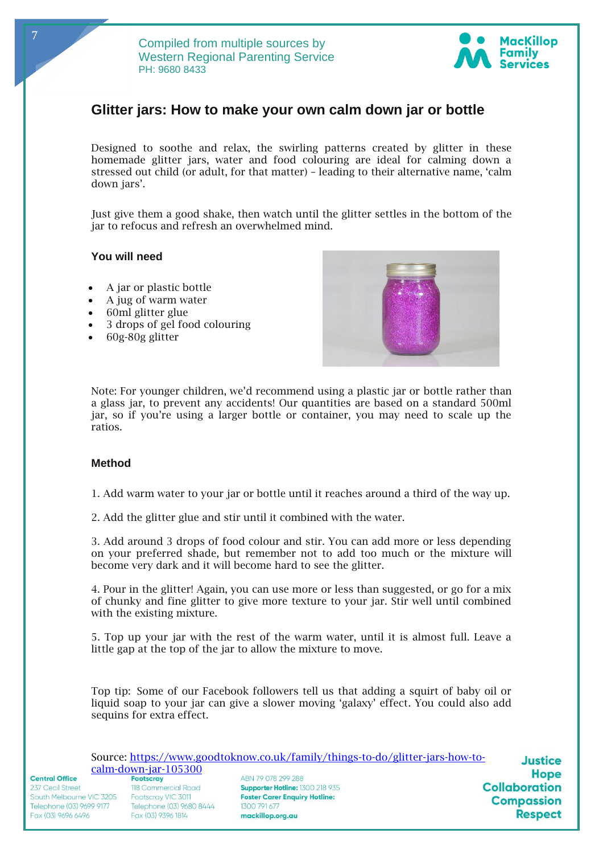

# **Glitter jars: How to make your own calm down jar or bottle**

Designed to soothe and relax, the swirling patterns created by glitter in these homemade glitter jars, water and food colouring are ideal for calming down a stressed out child (or adult, for that matter) – leading to their alternative name, 'calm down jars'.

Just give them a good shake, then watch until the glitter settles in the bottom of the jar to refocus and refresh an overwhelmed mind.

# **You will need**

7

- A jar or plastic bottle
- A jug of warm water
- 60ml glitter glue
- 3 drops of gel food colouring
- 60g-80g glitter



Note: For younger children, we'd recommend using a plastic jar or bottle rather than a glass jar, to prevent any accidents! Our quantities are based on a standard 500ml jar, so if you're using a larger bottle or container, you may need to scale up the ratios.

## **Method**

1. Add warm water to your jar or bottle until it reaches around a third of the way up.

2. Add the glitter glue and stir until it combined with the water.

3. Add around 3 drops of food colour and stir. You can add more or less depending on your preferred shade, but remember not to add too much or the mixture will become very dark and it will become hard to see the glitter.

4. Pour in the glitter! Again, you can use more or less than suggested, or go for a mix of chunky and fine glitter to give more texture to your jar. Stir well until combined with the existing mixture.

5. Top up your jar with the rest of the warm water, until it is almost full. Leave a little gap at the top of the jar to allow the mixture to move.

Top tip: Some of our Facebook followers tell us that adding a squirt of baby oil or liquid soap to your jar can give a slower moving 'galaxy' effect. You could also add sequins for extra effect.

|                          |                          | Source: https://www.goodtoknow.co.uk/family/things-to-do/glitter-jars-how-to- | <b>Justice</b>       |
|--------------------------|--------------------------|-------------------------------------------------------------------------------|----------------------|
| $calm$ -down-jar-105300  |                          |                                                                               |                      |
| <b>Central Office</b>    | <b>Footscray</b>         | ABN 79 078 299 288                                                            | <b>Hope</b>          |
| 237 Cecil Street         | 118 Commercial Road      | Supporter Hotline: 1300 218 935                                               | <b>Collaboration</b> |
| South Melbourne VIC 3205 | Footscray VIC 3011       | <b>Foster Carer Enquiry Hotline:</b>                                          | <b>Compassion</b>    |
| Telephone (03) 9699 9177 | Telephone (03) 9680 8444 | 1300 791 677                                                                  |                      |
| Fax (03) 9696 6496       | Fax (03) 9396 1814       | mackillop.org.au                                                              | <b>Respect</b>       |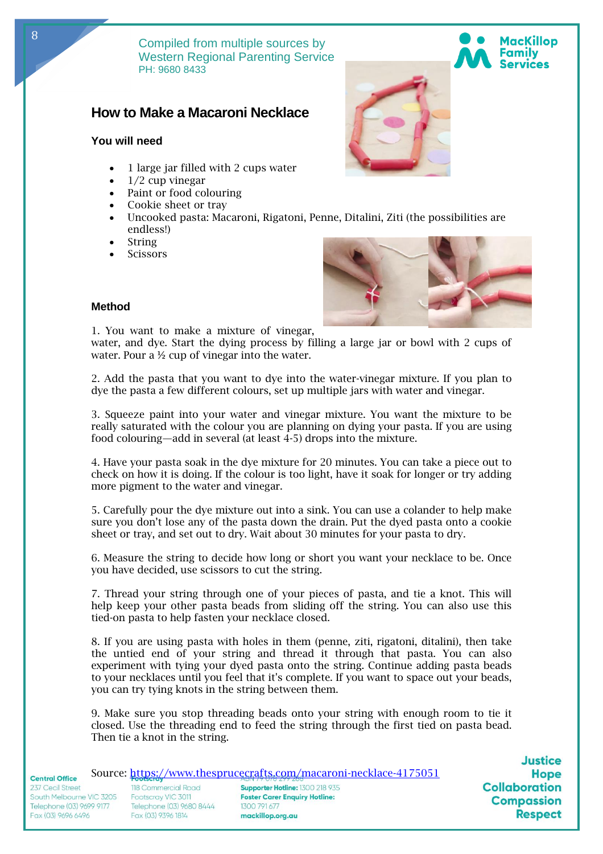# **How to Make a Macaroni Necklace**

# **You will need**

- 1 large jar filled with 2 cups water
- $1/2$  cup vinegar
- Paint or food colouring
- Cookie sheet or tray
- Uncooked pasta: Macaroni, Rigatoni, Penne, Ditalini, Ziti (the possibilities are endless!)
- **String**
- **Scissors**



# **Method**

1. You want to make a mixture of vinegar,

water, and dye. Start the dying process by filling a large jar or bowl with 2 cups of water. Pour a  $\frac{1}{2}$  cup of vinegar into the water.

2. Add the pasta that you want to dye into the water-vinegar mixture. If you plan to dye the pasta a few different colours, set up multiple jars with water and vinegar.

3. Squeeze paint into your water and vinegar mixture. You want the mixture to be really saturated with the colour you are planning on dying your pasta. If you are using food colouring—add in several (at least 4-5) drops into the mixture.

4. Have your pasta soak in the dye mixture for 20 minutes. You can take a piece out to check on how it is doing. If the colour is too light, have it soak for longer or try adding more pigment to the water and vinegar.

5. Carefully pour the dye mixture out into a sink. You can use a colander to help make sure you don't lose any of the pasta down the drain. Put the dyed pasta onto a cookie sheet or tray, and set out to dry. Wait about 30 minutes for your pasta to dry.

6. Measure the string to decide how long or short you want your necklace to be. Once you have decided, use scissors to cut the string.

7. Thread your string through one of your pieces of pasta, and tie a knot. This will help keep your other pasta beads from sliding off the string. You can also use this tied-on pasta to help fasten your necklace closed.

8. If you are using pasta with holes in them (penne, ziti, rigatoni, ditalini), then take the untied end of your string and thread it through that pasta. You can also experiment with tying your dyed pasta onto the string. Continue adding pasta beads to your necklaces until you feel that it's complete. If you want to space out your beads, you can try tying knots in the string between them.

9. Make sure you stop threading beads onto your string with enough room to tie it closed. Use the threading end to feed the string through the first tied on pasta bead. Then tie a knot in the string.

| <b>Central Office</b> |  |
|-----------------------|--|
|                       |  |

237 Cecil Street South Melbourne VIC 3205 Telephone (03) 9699 9177 Fax (03) 9696 6496

118 Commercial Road Footscray VIC 3011 Telephone (03) 9680 8444 1300 791 677<br>Fax (03) 9396 1814 **mackillop.org.au** 

Source:<https://www.thesprucecrafts.com/macaroni-necklace-4175051> Supporter Hotline: 1300 218 935 **Foster Carer Enquiry Hotline:** 

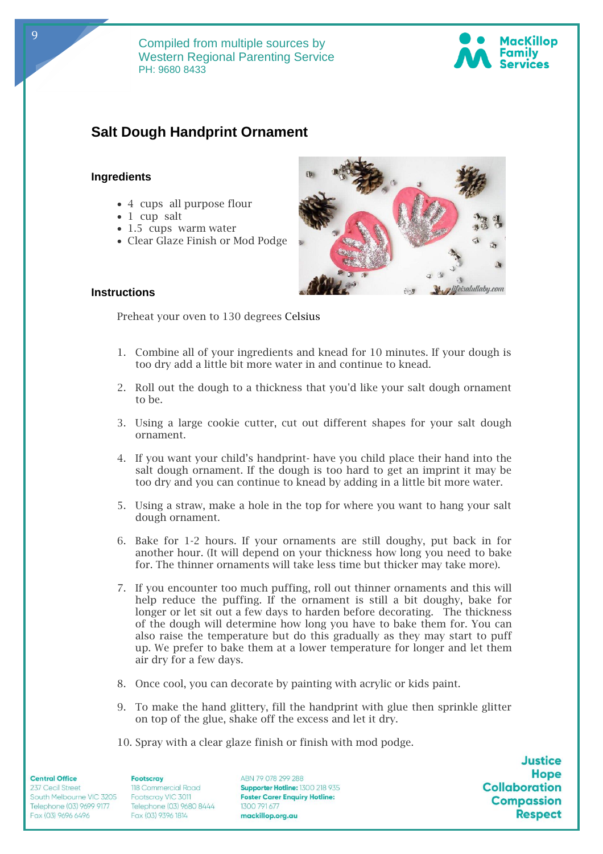

# **Salt Dough Handprint Ornament**

# **Ingredients**

- 4 cups all purpose flour
- 1 cup salt
- 1.5 cups warm water
- Clear Glaze Finish or Mod Podge



# **Instructions**

Preheat your oven to 130 degrees Celsius

- 1. Combine all of your ingredients and knead for 10 minutes. If your dough is too dry add a little bit more water in and continue to knead.
- 2. Roll out the dough to a thickness that you'd like your salt dough ornament to be.
- 3. Using a large cookie cutter, cut out different shapes for your salt dough ornament.
- 4. If you want your child's handprint- have you child place their hand into the salt dough ornament. If the dough is too hard to get an imprint it may be too dry and you can continue to knead by adding in a little bit more water.
- 5. Using a straw, make a hole in the top for where you want to hang your salt dough ornament.
- 6. Bake for 1-2 hours. If your ornaments are still doughy, put back in for another hour. (It will depend on your thickness how long you need to bake for. The thinner ornaments will take less time but thicker may take more).
- 7. If you encounter too much puffing, roll out thinner ornaments and this will help reduce the puffing. If the ornament is still a bit doughy, bake for longer or let sit out a few days to harden before decorating. The thickness of the dough will determine how long you have to bake them for. You can also raise the temperature but do this gradually as they may start to puff up. We prefer to bake them at a lower temperature for longer and let them air dry for a few days.
- 8. Once cool, you can decorate by painting with acrylic or kids paint.
- 9. To make the hand glittery, fill the handprint with glue then sprinkle glitter on top of the glue, shake off the excess and let it dry.
- 10. Spray with a clear glaze finish or finish with mod podge.

**Central Office** 

237 Cecil Street South Melbourne VIC 3205 Telephone (03) 9699 9177 Fax (03) 9696 6496

**Footscray** 118 Commercial Road Footscray VIC 3011 Telephone (03) 9680 8444 1300 791 677<br>Fax (03) 9396 1814 **mackillop.org.au** 

ABN 79 078 299 288 Supporter Hotline: 1300 218 935 **Foster Carer Enquiry Hotline:** 

**Justice Hope Collaboration Compassion Respect** 

9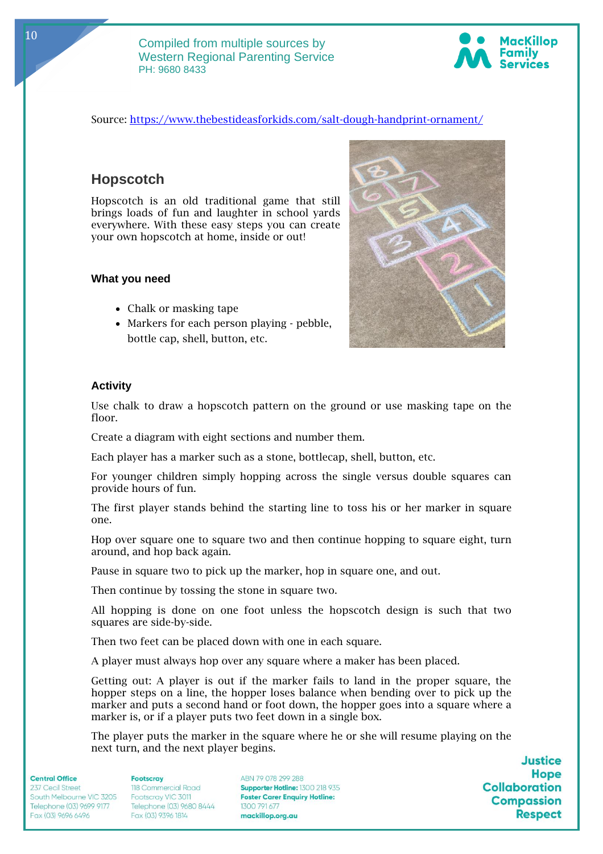

# Source:<https://www.thebestideasforkids.com/salt-dough-handprint-ornament/>

# **Hopscotch**

Hopscotch is an old traditional game that still brings loads of fun and laughter in school yards everywhere. With these easy steps you can create your own hopscotch at home, inside or out!

#### **What you need**

- Chalk or masking tape
- Markers for each person playing pebble, bottle cap, shell, button, etc.



## **Activity**

Use chalk to draw a hopscotch pattern on the ground or use masking tape on the floor.

Create a diagram with eight sections and number them.

Each player has a marker such as a stone, bottlecap, shell, button, etc.

For younger children simply hopping across the single versus double squares can provide hours of fun.

The first player stands behind the starting line to toss his or her marker in square one.

Hop over square one to square two and then continue hopping to square eight, turn around, and hop back again.

Pause in square two to pick up the marker, hop in square one, and out.

Then continue by tossing the stone in square two.

All hopping is done on one foot unless the hopscotch design is such that two squares are side-by-side.

Then two feet can be placed down with one in each square.

A player must always hop over any square where a maker has been placed.

Getting out: A player is out if the marker fails to land in the proper square, the hopper steps on a line, the hopper loses balance when bending over to pick up the marker and puts a second hand or foot down, the hopper goes into a square where a marker is, or if a player puts two feet down in a single box.

The player puts the marker in the square where he or she will resume playing on the next turn, and the next player begins.

#### **Central Office**

237 Cecil Street South Melbourne VIC 3205 Telephone (03) 9699 9177 Fax (03) 9696 6496

#### **Footscrav** 118 Commercial Road Footscray VIC 3011 Telephone (03) 9680 8444 1300 791 677<br>Fax (03) 9396 1814 **mackillop.org.au**

ABN 79 078 299 288 Supporter Hotline: 1300 218 935 **Foster Carer Enquiry Hotline:**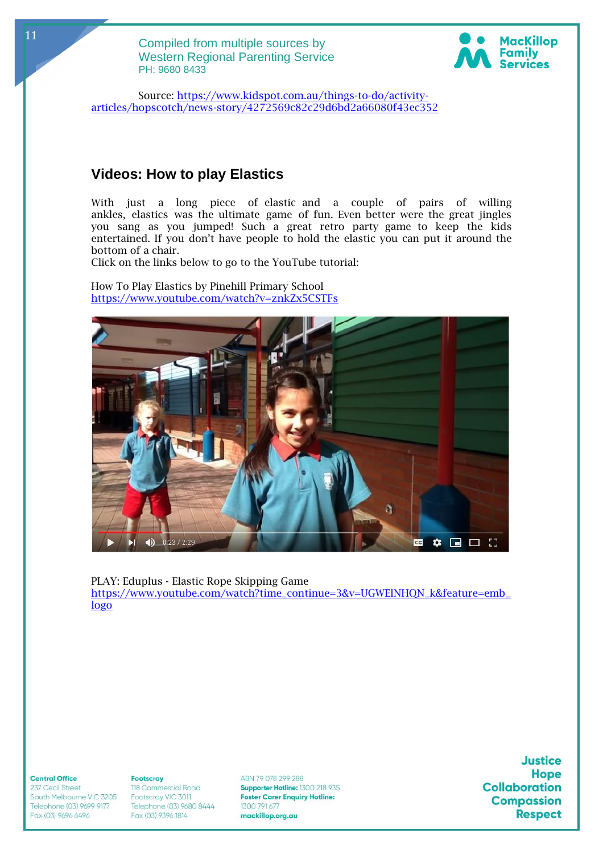

Source: [https://www.kidspot.com.au/things-to-do/activity](https://www.kidspot.com.au/things-to-do/activity-articles/hopscotch/news-story/4272569c82c29d6bd2a66080f43ec352)[articles/hopscotch/news-story/4272569c82c29d6bd2a66080f43ec352](https://www.kidspot.com.au/things-to-do/activity-articles/hopscotch/news-story/4272569c82c29d6bd2a66080f43ec352)

# **Videos: How to play Elastics**

With just a long piece of elastic and a couple of pairs of willing ankles, elastics was the ultimate game of fun. Even better were the great jingles you sang as you jumped! Such a great retro party game to keep the kids entertained. If you don't have people to hold the elastic you can put it around the bottom of a chair.

Click on the links below to go to the YouTube tutorial:

How To Play Elastics by Pinehill Primary School <https://www.youtube.com/watch?v=znkZx5CSTFs>



PLAY: Eduplus - Elastic Rope Skipping Game [https://www.youtube.com/watch?time\\_continue=3&v=UGWElNHQN\\_k&feature=emb\\_](https://www.youtube.com/watch?time_continue=3&v=UGWElNHQN_k&feature=emb_logo) [logo](https://www.youtube.com/watch?time_continue=3&v=UGWElNHQN_k&feature=emb_logo)

#### **Central Office**

237 Cecil Street South Melbourne VIC 3205 Telephone (03) 9699 9177 Fax (03) 9696 6496

#### **Footscray** 118 Commercial Road Footscray VIC 3011 Telephone (03) 9680 8444 1300 791 677<br>Fax (03) 9396 1814 **mackillop.org.au**

ABN 79 078 299 288 Supporter Hotline: 1300 218 935 **Foster Carer Enquiry Hotline:**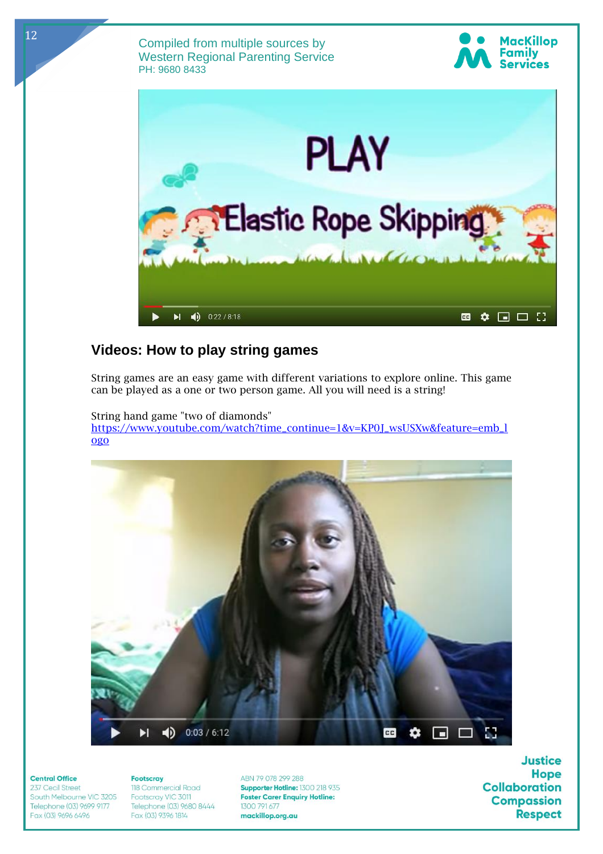



# **Videos: How to play string games**

String games are an easy game with different variations to explore online. This game can be played as a one or two person game. All you will need is a string!

String hand game "two of diamonds" [https://www.youtube.com/watch?time\\_continue=1&v=KP0J\\_wsUSXw&feature=emb\\_l](https://www.youtube.com/watch?time_continue=1&v=KP0J_wsUSXw&feature=emb_logo) [ogo](https://www.youtube.com/watch?time_continue=1&v=KP0J_wsUSXw&feature=emb_logo)



#### **Central Office**

237 Cecil Street South Melbourne VIC 3205 Telephone (03) 9699 9177 Fax (03) 9696 6496

## **Footscray** 118 Commercial Road Footscray VIC 3011 Telephone (03) 9680 8444 1300 791 677<br>Fax (03) 9396 1814 **mackillop.org.au**

ABN 79 078 299 288 Supporter Hotline: 1300 218 935 **Foster Carer Enquiry Hotline:**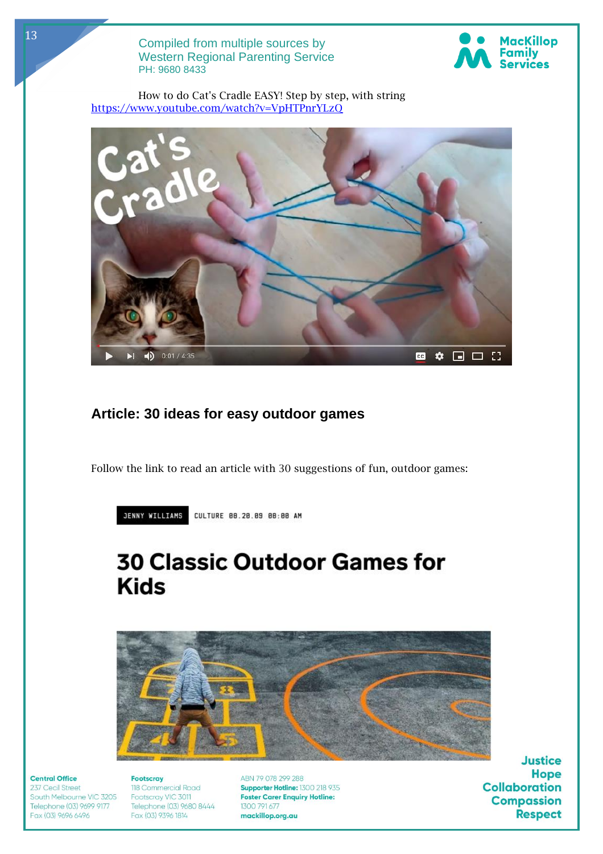

How to do Cat's Cradle EASY! Step by step, with string <https://www.youtube.com/watch?v=VpHTPnrYLzQ>

![](_page_12_Picture_3.jpeg)

# **Article: 30 ideas for easy outdoor games**

Follow the link to read an article with 30 suggestions of fun, outdoor games:

JENNY WILLIAMS CULTURE 08.20.09 08:00 AM

# **30 Classic Outdoor Games for Kids**

![](_page_12_Picture_8.jpeg)

## **Central Office**

237 Cecil Street South Melbourne VIC 3205 Telephone (03) 9699 9177 Fax (03) 9696 6496

**Footscray** 118 Commercial Road Footscray VIC 3011 Telephone (03) 9680 8444 1300 791 677<br>Fax (03) 9396 1814 **mackillop.org.au** 

ABN 79 078 299 288 Supporter Hotline: 1300 218 935 **Foster Carer Enquiry Hotline:**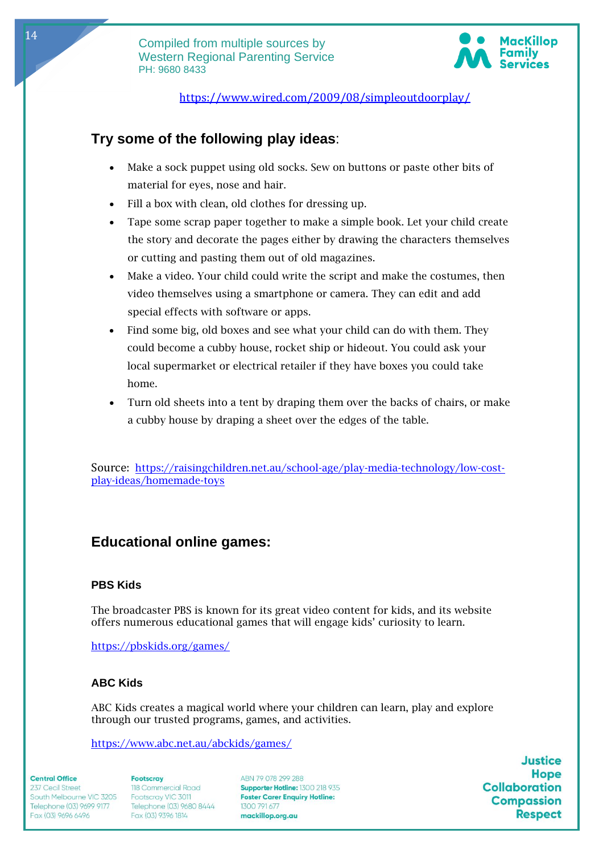![](_page_13_Picture_1.jpeg)

<https://www.wired.com/2009/08/simpleoutdoorplay/>

# **Try some of the following play ideas**:

- Make a sock puppet using old socks. Sew on buttons or paste other bits of material for eyes, nose and hair.
- Fill a box with clean, old clothes for dressing up.
- Tape some scrap paper together to make a simple book. Let your child create the story and decorate the pages either by drawing the characters themselves or cutting and pasting them out of old magazines.
- Make a video. Your child could write the script and make the costumes, then video themselves using a smartphone or camera. They can edit and add special effects with software or apps.
- Find some big, old boxes and see what your child can do with them. They could become a cubby house, rocket ship or hideout. You could ask your local supermarket or electrical retailer if they have boxes you could take home.
- Turn old sheets into a tent by draping them over the backs of chairs, or make a cubby house by draping a sheet over the edges of the table.

Source: [https://raisingchildren.net.au/school-age/play-media-technology/low-cost](https://raisingchildren.net.au/school-age/play-media-technology/low-cost-play-ideas/homemade-toys)[play-ideas/homemade-toys](https://raisingchildren.net.au/school-age/play-media-technology/low-cost-play-ideas/homemade-toys)

# **Educational online games:**

# **PBS Kids**

The broadcaster PBS is known for its great video content for kids, and its website offers numerous educational games that will engage kids' curiosity to learn.

<https://pbskids.org/games/>

# **ABC Kids**

ABC Kids creates a magical world where your children can learn, play and explore through our trusted programs, games, and activities.

<https://www.abc.net.au/abckids/games/>

#### **Central Office**

237 Cecil Street South Melbourne VIC 3205 Telephone (03) 9699 9177 Fax (03) 9696 6496

**Footscrav** 118 Commercial Road Footscray VIC 3011 Telephone (03) 9680 8444 1300 791 677<br>Fax (03) 9396 1814 **mackillop.org.au** 

ABN 79 078 299 288 Supporter Hotline: 1300 218 935 **Foster Carer Enquiry Hotline:**